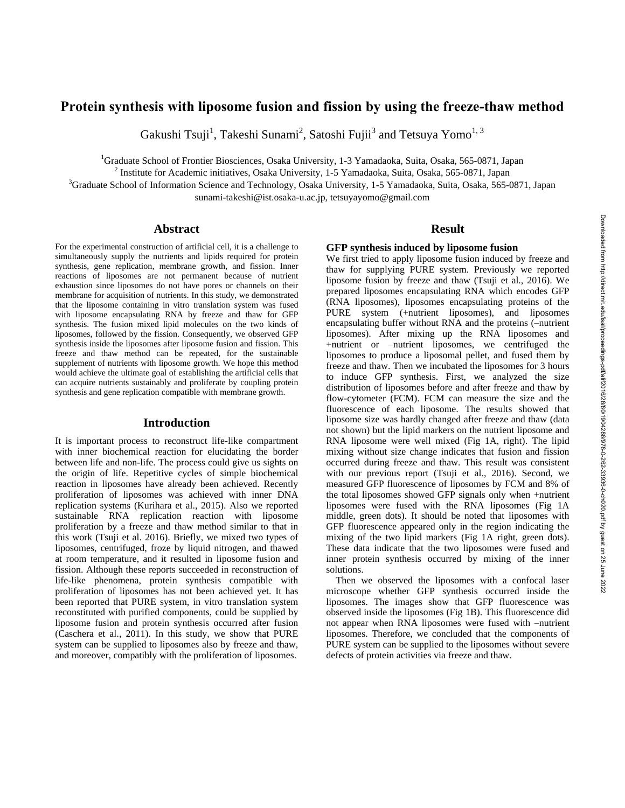# **Protein synthesis with liposome fusion and fission by using the freeze-thaw method**

Gakushi Tsuji<sup>1</sup>, Takeshi Sunami<sup>2</sup>, Satoshi Fujii<sup>3</sup> and Tetsuya Yomo<sup>1, 3</sup>

<sup>1</sup>Graduate School of Frontier Biosciences, Osaka University, 1-3 Yamadaoka, Suita, Osaka, 565-0871, Japan

<sup>2</sup> Institute for Academic initiatives, Osaka University, 1-5 Yamadaoka, Suita, Osaka, 565-0871, Japan

<sup>3</sup>Graduate School of Information Science and Technology, Osaka University, 1-5 Yamadaoka, Suita, Osaka, 565-0871, Japan sunami-takeshi@ist.osaka-u.ac.jp, tetsuyayomo@gmail.com

### **Abstract**

For the experimental construction of artificial cell, it is a challenge to simultaneously supply the nutrients and lipids required for protein synthesis, gene replication, membrane growth, and fission. Inner reactions of liposomes are not permanent because of nutrient exhaustion since liposomes do not have pores or channels on their membrane for acquisition of nutrients. In this study, we demonstrated that the liposome containing in vitro translation system was fused with liposome encapsulating RNA by freeze and thaw for GFP synthesis. The fusion mixed lipid molecules on the two kinds of liposomes, followed by the fission. Consequently, we observed GFP synthesis inside the liposomes after liposome fusion and fission. This freeze and thaw method can be repeated, for the sustainable supplement of nutrients with liposome growth. We hope this method would achieve the ultimate goal of establishing the artificial cells that can acquire nutrients sustainably and proliferate by coupling protein synthesis and gene replication compatible with membrane growth.

### **Introduction**

It is important process to reconstruct life-like compartment with inner biochemical reaction for elucidating the border between life and non-life. The process could give us sights on the origin of life. Repetitive cycles of simple biochemical reaction in liposomes have already been achieved. Recently proliferation of liposomes was achieved with inner DNA replication systems (Kurihara et al., 2015). Also we reported sustainable RNA replication reaction with liposome proliferation by a freeze and thaw method similar to that in this work (Tsuji et al. 2016). Briefly, we mixed two types of liposomes, centrifuged, froze by liquid nitrogen, and thawed at room temperature, and it resulted in liposome fusion and fission. Although these reports succeeded in reconstruction of life-like phenomena, protein synthesis compatible with proliferation of liposomes has not been achieved yet. It has been reported that PURE system, in vitro translation system reconstituted with purified components, could be supplied by liposome fusion and protein synthesis occurred after fusion (Caschera et al., 2011). In this study, we show that PURE system can be supplied to liposomes also by freeze and thaw, and moreover, compatibly with the proliferation of liposomes.

### **Result**

### **GFP synthesis induced by liposome fusion**

We first tried to apply liposome fusion induced by freeze and thaw for supplying PURE system. Previously we reported liposome fusion by freeze and thaw (Tsuji et al., 2016). We prepared liposomes encapsulating RNA which encodes GFP (RNA liposomes), liposomes encapsulating proteins of the PURE system (+nutrient liposomes), and liposomes encapsulating buffer without RNA and the proteins (–nutrient liposomes). After mixing up the RNA liposomes and +nutrient or –nutrient liposomes, we centrifuged the liposomes to produce a liposomal pellet, and fused them by freeze and thaw. Then we incubated the liposomes for 3 hours to induce GFP synthesis. First, we analyzed the size distribution of liposomes before and after freeze and thaw by flow-cytometer (FCM). FCM can measure the size and the fluorescence of each liposome. The results showed that liposome size was hardly changed after freeze and thaw (data not shown) but the lipid markers on the nutrient liposome and RNA liposome were well mixed (Fig 1A, right). The lipid mixing without size change indicates that fusion and fission occurred during freeze and thaw. This result was consistent with our previous report (Tsuji et al., 2016). Second, we measured GFP fluorescence of liposomes by FCM and 8% of the total liposomes showed GFP signals only when +nutrient liposomes were fused with the RNA liposomes (Fig 1A middle, green dots). It should be noted that liposomes with GFP fluorescence appeared only in the region indicating the mixing of the two lipid markers (Fig 1A right, green dots). These data indicate that the two liposomes were fused and inner protein synthesis occurred by mixing of the inner solutions.

 Then we observed the liposomes with a confocal laser microscope whether GFP synthesis occurred inside the liposomes. The images show that GFP fluorescence was observed inside the liposomes (Fig 1B). This fluorescence did not appear when RNA liposomes were fused with –nutrient liposomes. Therefore, we concluded that the components of PURE system can be supplied to the liposomes without severe defects of protein activities via freeze and thaw.